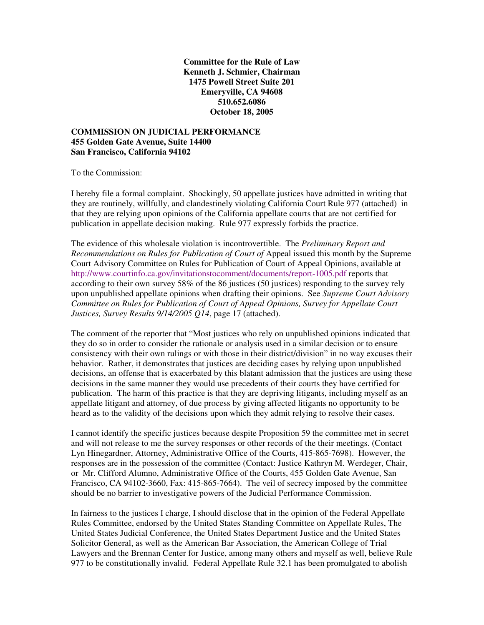**Committee for the Rule of Law Kenneth J. Schmier, Chairman 1475 Powell Street Suite 201 Emeryville, CA 94608 510.652.6086 October 18, 2005**

#### **COMMISSION ON JUDICIAL PERFORMANCE 455 Golden Gate Avenue, Suite 14400 San Francisco, California 94102**

To the Commission:

I hereby file a formal complaint. Shockingly, 50 appellate justices have admitted in writing that they are routinely, willfully, and clandestinely violating California Court Rule 977 (attached) in that they are relying upon opinions of the California appellate courts that are not certified for publication in appellate decision making. Rule 977 expressly forbids the practice.

The evidence of this wholesale violation is incontrovertible. The *Preliminary Report and Recommendations on Rules for Publication of Court of* Appeal issued this month by the Supreme Court Advisory Committee on Rules for Publication of Court of Appeal Opinions, available at http://www.courtinfo.ca.gov/invitationstocomment/documents/report-1005.pdf reports that according to their own survey 58% of the 86 justices (50 justices) responding to the survey rely upon unpublished appellate opinions when drafting their opinions. See *Supreme Court Advisory Committee on Rules for Publication of Court of Appeal Opinions, Survey for Appellate Court Justices, Survey Results 9/14/2005 Q14*, page 17 (attached).

The comment of the reporter that "Most justices who rely on unpublished opinions indicated that they do so in order to consider the rationale or analysis used in a similar decision or to ensure consistency with their own rulings or with those in their district/division" in no way excuses their behavior. Rather, it demonstrates that justices are deciding cases by relying upon unpublished decisions, an offense that is exacerbated by this blatant admission that the justices are using these decisions in the same manner they would use precedents of their courts they have certified for publication. The harm of this practice is that they are depriving litigants, including myself as an appellate litigant and attorney, of due process by giving affected litigants no opportunity to be heard as to the validity of the decisions upon which they admit relying to resolve their cases.

I cannot identify the specific justices because despite Proposition 59 the committee met in secret and will not release to me the survey responses or other records of the their meetings. (Contact Lyn Hinegardner, Attorney, Administrative Office of the Courts, 415-865-7698). However, the responses are in the possession of the committee (Contact: Justice Kathryn M. Werdeger, Chair, or Mr. Clifford Alumno, Administrative Office of the Courts, 455 Golden Gate Avenue, San Francisco, CA 94102-3660, Fax: 415-865-7664). The veil of secrecy imposed by the committee should be no barrier to investigative powers of the Judicial Performance Commission.

In fairness to the justices I charge, I should disclose that in the opinion of the Federal Appellate Rules Committee, endorsed by the United States Standing Committee on Appellate Rules, The United States Judicial Conference, the United States Department Justice and the United States Solicitor General, as well as the American Bar Association, the American College of Trial Lawyers and the Brennan Center for Justice, among many others and myself as well, believe Rule 977 to be constitutionally invalid. Federal Appellate Rule 32.1 has been promulgated to abolish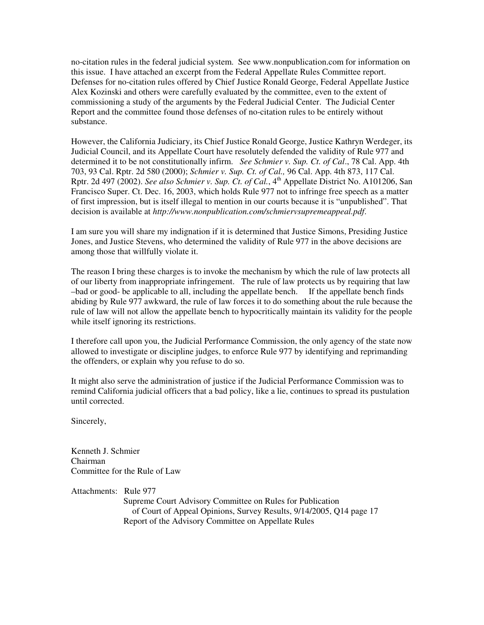no-citation rules in the federal judicial system. See www.nonpublication.com for information on this issue. I have attached an excerpt from the Federal Appellate Rules Committee report. Defenses for no-citation rules offered by Chief Justice Ronald George, Federal Appellate Justice Alex Kozinski and others were carefully evaluated by the committee, even to the extent of commissioning a study of the arguments by the Federal Judicial Center. The Judicial Center Report and the committee found those defenses of no-citation rules to be entirely without substance.

However, the California Judiciary, its Chief Justice Ronald George, Justice Kathryn Werdeger, its Judicial Council, and its Appellate Court have resolutely defended the validity of Rule 977 and determined it to be not constitutionally infirm. *See Schmier v. Sup. Ct. of Cal*., 78 Cal. App. 4th 703, 93 Cal. Rptr. 2d 580 (2000); *Schmier v. Sup. Ct. of Cal.,* 96 Cal. App. 4th 873, 117 Cal. Rptr. 2d 497 (2002). *See also Schmier v. Sup. Ct. of Cal.*, 4 th Appellate District No. A101206, San Francisco Super. Ct. Dec. 16, 2003, which holds Rule 977 not to infringe free speech as a matter of first impression, but is itself illegal to mention in our courts because it is "unpublished". That decision is available at *http://www.nonpublication.com/schmiervsupremeappeal.pdf*.

I am sure you will share my indignation if it is determined that Justice Simons, Presiding Justice Jones, and Justice Stevens, who determined the validity of Rule 977 in the above decisions are among those that willfully violate it.

The reason I bring these charges is to invoke the mechanism by which the rule of law protects all of our liberty from inappropriate infringement. The rule of law protects us by requiring that law –bad or good- be applicable to all, including the appellate bench. If the appellate bench finds abiding by Rule 977 awkward, the rule of law forces it to do something about the rule because the rule of law will not allow the appellate bench to hypocritically maintain its validity for the people while itself ignoring its restrictions.

I therefore call upon you, the Judicial Performance Commission, the only agency of the state now allowed to investigate or discipline judges, to enforce Rule 977 by identifying and reprimanding the offenders, or explain why you refuse to do so.

It might also serve the administration of justice if the Judicial Performance Commission was to remind California judicial officers that a bad policy, like a lie, continues to spread its pustulation until corrected.

Sincerely,

Kenneth J. Schmier Chairman Committee for the Rule of Law

Attachments: Rule 977

Supreme Court Advisory Committee on Rules for Publication of Court of Appeal Opinions, Survey Results, 9/14/2005, Q14 page 17 Report of the Advisory Committee on Appellate Rules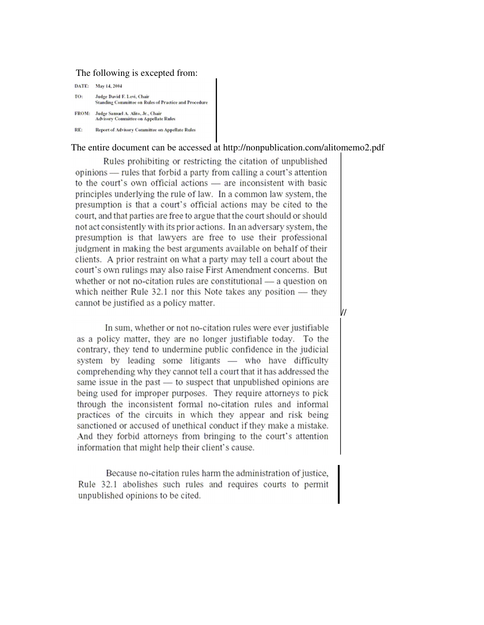#### The following is excepted from:

| DATE:  | May 14, 2004                                                                        |
|--------|-------------------------------------------------------------------------------------|
| 10:    | Judge David F. Levi, Chair<br>Standing Committee on Rules of Practice and Procedure |
| FROM:  | Judge Samuel A. Alito, Jr., Chair<br>Advisory Committee on Appellate Rules          |
| 12 E : | Report of Advisory Committee on Annellate Rules                                     |

#### The entire document can be accessed at http://nonpublication.com/alitomemo2.pdf

Rules prohibiting or restricting the citation of unpublished opinions — rules that forbid a party from calling a court's attention to the court's own official actions - are inconsistent with basic principles underlying the rule of law. In a common law system, the presumption is that a court's official actions may be cited to the court, and that parties are free to argue that the court should or should not act consistently with its prior actions. In an adversary system, the presumption is that lawyers are free to use their professional judgment in making the best arguments available on behalf of their clients. A prior restraint on what a party may tell a court about the court's own rulings may also raise First Amendment concerns. But whether or not no-citation rules are constitutional — a question on which neither Rule  $32.1$  nor this Note takes any position  $-$  they cannot be justified as a policy matter.

In sum, whether or not no-citation rules were ever justifiable as a policy matter, they are no longer justifiable today. To the contrary, they tend to undermine public confidence in the judicial system by leading some litigants - who have difficulty comprehending why they cannot tell a court that it has addressed the same issue in the past — to suspect that unpublished opinions are being used for improper purposes. They require attorneys to pick through the inconsistent formal no-citation rules and informal practices of the circuits in which they appear and risk being sanctioned or accused of unethical conduct if they make a mistake. And they forbid attorneys from bringing to the court's attention information that might help their client's cause.

Because no-citation rules harm the administration of justice, Rule 32.1 abolishes such rules and requires courts to permit unpublished opinions to be cited.

//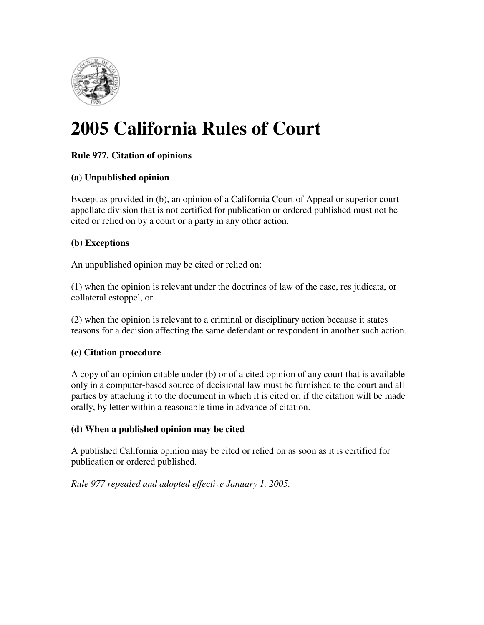

# **2005 California Rules of Court**

# **Rule 977. Citation of opinions**

# **(a) Unpublished opinion**

Except as provided in (b), an opinion of a California Court of Appeal or superior court appellate division that is not certified for publication or ordered published must not be cited or relied on by a court or a party in any other action.

# **(b) Exceptions**

An unpublished opinion may be cited or relied on:

(1) when the opinion is relevant under the doctrines of law of the case, res judicata, or collateral estoppel, or

(2) when the opinion is relevant to a criminal or disciplinary action because it states reasons for a decision affecting the same defendant or respondent in another such action.

# **(c) Citation procedure**

A copy of an opinion citable under (b) or of a cited opinion of any court that is available only in a computer-based source of decisional law must be furnished to the court and all parties by attaching it to the document in which it is cited or, if the citation will be made orally, by letter within a reasonable time in advance of citation.

# **(d) When a published opinion may be cited**

A published California opinion may be cited or relied on as soon as it is certified for publication or ordered published.

# *Rule 977 repealed and adopted effective January 1, 2005.*